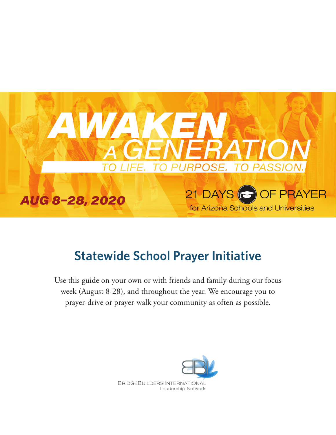

# **Statewide School Prayer Initiative**

Use this guide on your own or with friends and family during our focus week (August 8-28), and throughout the year. We encourage you to prayer-drive or prayer-walk your community as often as possible.

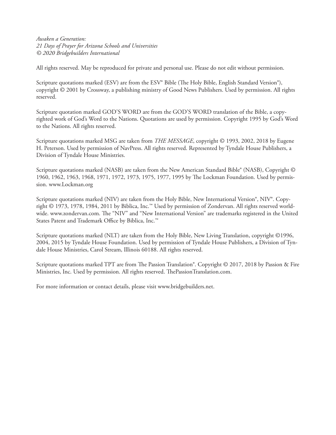*Awaken a Generation: 21 Days of Prayer for Arizona Schools and Universities © 2020 Bridgebuilders International*

All rights reserved. May be reproduced for private and personal use. Please do not edit without permission.

Scripture quotations marked (ESV) are from the ESV® Bible (The Holy Bible, English Standard Version®), copyright © 2001 by Crossway, a publishing ministry of Good News Publishers. Used by permission. All rights reserved.

Scripture quotation marked GOD'S WORD are from the GOD'S WORD translation of the Bible, a copyrighted work of God's Word to the Nations. Quotations are used by permission. Copyright 1995 by God's Word to the Nations. All rights reserved.

Scripture quotations marked MSG are taken from *THE MESSAGE*, copyright © 1993, 2002, 2018 by Eugene H. Peterson. Used by permission of NavPress. All rights reserved. Represented by Tyndale House Publishers, a Division of Tyndale House Ministries.

Scripture quotations marked (NASB) are taken from the New American Standard Bible® (NASB), Copyright © 1960, 1962, 1963, 1968, 1971, 1972, 1973, 1975, 1977, 1995 by The Lockman Foundation. Used by permission. www.Lockman.org

Scripture quotations marked (NIV) are taken from the Holy Bible, New International Version®, NIV®. Copyright © 1973, 1978, 1984, 2011 by Biblica, Inc.™ Used by permission of Zondervan. All rights reserved worldwide. www.zondervan.com. The "NIV" and "New International Version" are trademarks registered in the United States Patent and Trademark Office by Biblica, Inc.™

Scripture quotations marked (NLT) are taken from the Holy Bible, New Living Translation, copyright ©1996, 2004, 2015 by Tyndale House Foundation. Used by permission of Tyndale House Publishers, a Division of Tyndale House Ministries, Carol Stream, Illinois 60188. All rights reserved.

Scripture quotations marked TPT are from The Passion Translation®. Copyright © 2017, 2018 by Passion & Fire Ministries, Inc. Used by permission. All rights reserved. ThePassionTranslation.com.

For more information or contact details, please visit www.bridgebuilders.net.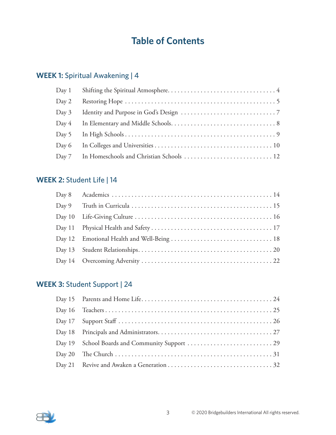## **Table of Contents**

## **WEEK 1:** Spiritual Awakening | 4

| Day 1   |  |
|---------|--|
| Day 2   |  |
| Day $3$ |  |
| Day 4   |  |
|         |  |
| Day 6   |  |
|         |  |

## **WEEK 2:** Student Life | 14

## **WEEK 3:** Student Support | 24

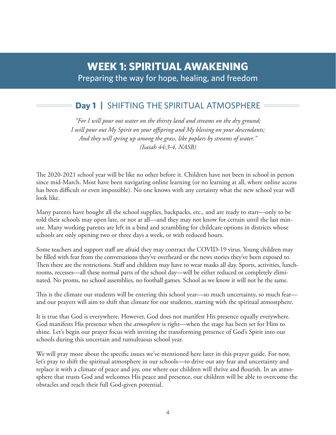## **Day 1 |** SHIFTING THE SPIRITUAL ATMOSPHERE

*"For I will pour out water on the thirsty land and streams on the dry ground; I will pour out My Spirit on your offspring and My blessing on your descendants; And they will spring up among the grass, like poplars by streams of water." (Isaiah 44:3-4, NASB)*

The 2020-2021 school year will be like no other before it. Children have not been in school in person since mid-March. Most have been navigating online learning (or no learning at all, where online access has been difficult or even impossible). No one knows with any certainty what the new school year will look like.

Many parents have bought all the school supplies, backpacks, etc., and are ready to start—only to be told their schools may open late, or not at all—and they may not know for certain until the last minute. Many working parents are left in a bind and scrambling for childcare options in districts whose schools are only opening two or three days a week, or with reduced hours.

Some teachers and support staff are afraid they may contract the COVID-19 virus. Young children may be filled with fear from the conversations they've overheard or the news stories they've been exposed to. Then there are the restrictions. Staff and children may have to wear masks all day. Sports, activities, lunchrooms, recesses—all these normal parts of the school day—will be either reduced or completely eliminated. No proms, no school assemblies, no football games. School as we know it will not be the same.

This is the climate our students will be entering this school year—so much uncertainty, so much fear and our prayers will aim to shift that climate for our students, starting with the spiritual atmostphere.

It is true that God is everywhere. However, God does not manifest His presence equally everywhere. God manifests His presence when the *atmosphere* is right—when the stage has been set for Him to shine. Let's begin our prayer focus with inviting the transforming presence of God's Spirit into our schools during this uncertain and tumultuous school year.

We will pray more about the specific issues we've mentioned here later in this prayer guide. For now, let's pray to shift the spiritual atmosphere in our schools—to drive out any fear and uncertainty and replace it with a climate of peace and joy, one where our children will thrive and flourish. In an atmosphere that trusts God and welcomes His peace and presence, our children will be able to overcome the obstacles and reach their full God-given potential.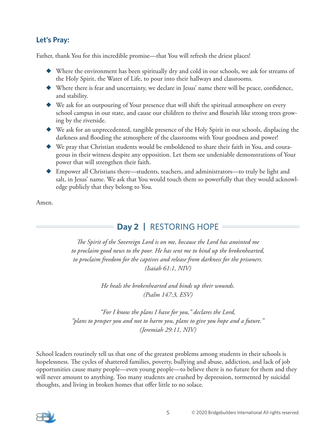### **Let's Pray:**

Father, thank You for this incredible promise—that You will refresh the driest places!

- ◆ Where the environment has been spiritually dry and cold in our schools, we ask for streams of the Holy Spirit, the Water of Life, to pour into their hallways and classrooms.
- ◆ Where there is fear and uncertainty, we declare in Jesus' name there will be peace, confidence, and stability.
- ◆ We ask for an outpouring of Your presence that will shift the spiritual atmosphere on every school campus in our state, and cause our children to thrive and flourish like strong trees growing by the riverside.
- ◆ We ask for an unprecedented, tangible presence of the Holy Spirit in our schools, displacing the darkness and flooding the atmosphere of the classrooms with Your goodness and power!
- ◆ We pray that Christian students would be emboldened to share their faith in You, and courageous in their witness despite any opposition. Let them see undeniable demonstrations of Your power that will strengthen their faith.
- ◆ Empower all Christians there—students, teachers, and administrators—to truly be light and salt, in Jesus' name. We ask that You would touch them so powerfully that they would acknowledge publicly that they belong to You.

Amen.

## **Day 2 |** RESTORING HOPE

*The Spirit of the Sovereign Lord is on me, because the Lord has anointed me to proclaim good news to the poor. He has sent me to bind up the brokenhearted, to proclaim freedom for the captives and release from darkness for the prisoners. (Isaiah 61:1, NIV)*

> *He heals the brokenhearted and binds up their wounds. (Psalm 147:3, ESV)*

*"For I know the plans I have for you," declares the Lord, "plans to prosper you and not to harm you, plans to give you hope and a future." (Jeremiah 29:11, NIV)*

School leaders routinely tell us that one of the greatest problems among students in their schools is hopelessness. The cycles of shattered families, poverty, bullying and abuse, addiction, and lack of job opportunities cause many people—even young people—to believe there is no future for them and they will never amount to anything. Too many students are crushed by depression, tormented by suicidal thoughts, and living in broken homes that offer little to no solace.

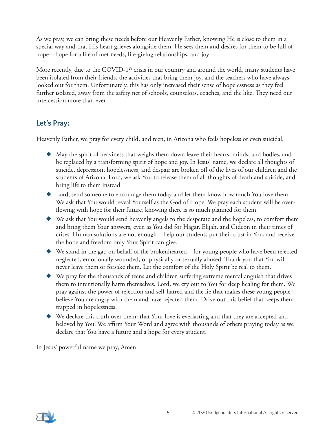As we pray, we can bring these needs before our Heavenly Father, knowing He is close to them in a special way and that His heart grieves alongside them. He sees them and desires for them to be full of hope—hope for a life of met needs, life-giving relationships, and joy.

More recently, due to the COVID-19 crisis in our country and around the world, many students have been isolated from their friends, the activities that bring them joy, and the teachers who have always looked out for them. Unfortunately, this has only increased their sense of hopelessness as they feel further isolated, away from the safety net of schools, counselors, coaches, and the like. They need our intercession more than ever.

### **Let's Pray:**

Heavenly Father, we pray for every child, and teen, in Arizona who feels hopeless or even suicidal.

- $\blacklozenge$  May the spirit of heaviness that weighs them down leave their hearts, minds, and bodies, and be replaced by a transforming spirit of hope and joy. In Jesus' name, we declare all thoughts of suicide, depression, hopelessness, and despair are broken off of the lives of our children and the students of Arizona. Lord, we ask You to release them of all thoughts of death and suicide, and bring life to them instead.
- ◆ Lord, send someone to encourage them today and let them know how much You love them. We ask that You would reveal Yourself as the God of Hope. We pray each student will be overflowing with hope for their future, knowing there is so much planned for them.
- ◆ We ask that You would send heavenly angels to the desperate and the hopeless, to comfort them and bring them Your answers, even as You did for Hagar, Elijah, and Gideon in their times of crises. Human solutions are not enough—help our students put their trust in You, and receive the hope and freedom only Your Spirit can give.
- ◆ We stand in the gap on behalf of the brokenhearted—for young people who have been rejected, neglected, emotionally wounded, or physically or sexually abused. Thank you that You will never leave them or forsake them. Let the comfort of the Holy Spirit be real to them.
- ◆ We pray for the thousands of teens and children suffering extreme mental anguish that drives them to intentionally harm themselves. Lord, we cry out to You for deep healing for them. We pray against the power of rejection and self-hatred and the lie that makes these young people believe You are angry with them and have rejected them. Drive out this belief that keeps them trapped in hopelessness.
- ◆ We declare this truth over them: that Your love is everlasting and that they are accepted and beloved by You! We affirm Your Word and agree with thousands of others praying today as we declare that You have a future and a hope for every student.

In Jesus' powerful name we pray, Amen.

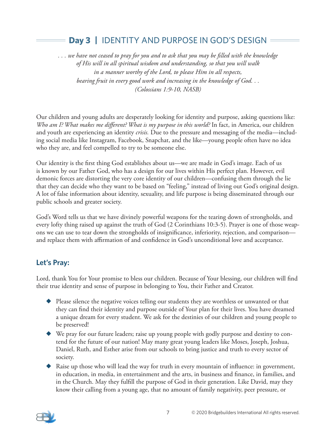## **Day 3 |** IDENTITY AND PURPOSE IN GOD'S DESIGN

*. . . we have not ceased to pray for you and to ask that you may be filled with the knowledge of His will in all spiritual wisdom and understanding, so that you will walk in a manner worthy of the Lord, to please Him in all respects, bearing fruit in every good work and increasing in the knowledge of God. . . (Colossians 1:9-10, NASB)*

Our children and young adults are desperately looking for identity and purpose, asking questions like: *Who am I? What makes me different? What is my purpose in this world?* In fact, in America, our children and youth are experiencing an identity *crisis.* Due to the pressure and messaging of the media—including social media like Instagram, Facebook, Snapchat, and the like—young people often have no idea who they are, and feel compelled to try to be someone else.

Our identity is the first thing God establishes about us—we are made in God's image. Each of us is known by our Father God, who has a design for our lives within His perfect plan. However, evil demonic forces are distorting the very core identity of our children—confusing them through the lie that they can decide who they want to be based on "feeling," instead of living out God's original design. A lot of false information about identity, sexuality, and life purpose is being disseminated through our public schools and greater society.

God's Word tells us that we have divinely powerful weapons for the tearing down of strongholds, and every lofty thing raised up against the truth of God (2 Corinthians 10:3-5). Prayer is one of those weapons we can use to tear down the strongholds of insignificance, inferiority, rejection, and comparison and replace them with affirmation of and confidence in God's unconditional love and acceptance.

### **Let's Pray:**

Lord, thank You for Your promise to bless our children. Because of Your blessing, our children will find their true identity and sense of purpose in belonging to You, their Father and Creator.

- ◆ Please silence the negative voices telling our students they are worthless or unwanted or that they can find their identity and purpose outside of Your plan for their lives. You have dreamed a unique dream for every student. We ask for the destinies of our children and young people to be preserved!
- ◆ We pray for our future leaders; raise up young people with godly purpose and destiny to contend for the future of our nation! May many great young leaders like Moses, Joseph, Joshua, Daniel, Ruth, and Esther arise from our schools to bring justice and truth to every sector of society.
- ◆ Raise up those who will lead the way for truth in every mountain of influence: in government, in education, in media, in entertainment and the arts, in business and finance, in families, and in the Church. May they fulfill the purpose of God in their generation. Like David, may they know their calling from a young age, that no amount of family negativity, peer pressure, or

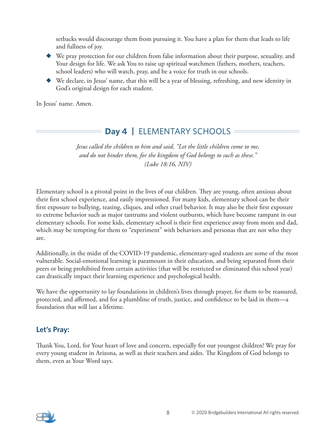setbacks would discourage them from pursuing it. You have a plan for them that leads to life and fullness of joy.

- ◆ We pray protection for our children from false information about their purpose, sexuality, and Your design for life. We ask You to raise up spiritual watchmen (fathers, mothers, teachers, school leaders) who will watch, pray, and be a voice for truth in our schools.
- ◆ We declare, in Jesus' name, that this will be a year of blessing, refreshing, and new identity in God's original design for each student.

In Jesus' name. Amen.

## **Day 4 | ELEMENTARY SCHOOLS**

*Jesus called the children to him and said, "Let the little children come to me, and do not hinder them, for the kingdom of God belongs to such as these." (Luke 18:16, NIV)*

Elementary school is a pivotal point in the lives of our children. They are young, often anxious about their first school experience, and easily impressioned. For many kids, elementary school can be their first exposure to bullying, teasing, cliques, and other cruel behavior. It may also be their first exposure to extreme behavior such as major tantrums and violent outbursts, which have become rampant in our elementary schools. For some kids, elementary school is their first experience away from mom and dad, which may be tempting for them to "experiment" with behaviors and personas that are not who they are.

Additionally, in the midst of the COVID-19 pandemic, elementary-aged students are some of the most vulnerable. Social-emotional learning is paramount in their education, and being separated from their peers or being prohibited from certain activities (that will be restricted or eliminated this school year) can drastically impact their learning experience and psychological health.

We have the opportunity to lay foundations in children's lives through prayer, for them to be reassured, protected, and affirmed, and for a plumbline of truth, justice, and confidence to be laid in them—a foundation that will last a lifetime.

### **Let's Pray:**

Thank You, Lord, for Your heart of love and concern, especially for our youngest children! We pray for every young student in Arizona, as well as their teachers and aides. The Kingdom of God belongs to them, even as Your Word says.

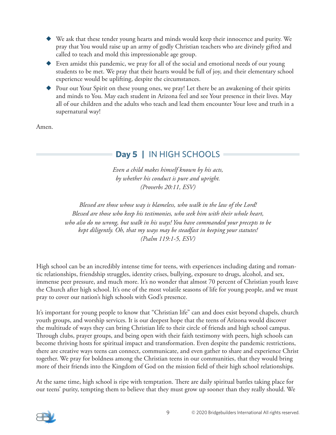- We ask that these tender young hearts and minds would keep their innocence and purity. We pray that You would raise up an army of godly Christian teachers who are divinely gifted and called to teach and mold this impressionable age group.
- ◆ Even amidst this pandemic, we pray for all of the social and emotional needs of our young students to be met. We pray that their hearts would be full of joy, and their elementary school experience would be uplifting, despite the circumstances.
- Pour out Your Spirit on these young ones, we pray! Let there be an awakening of their spirits and minds to You. May each student in Arizona feel and see Your presence in their lives. May all of our children and the adults who teach and lead them encounter Your love and truth in a supernatural way!

Amen.

## **Day 5 |** IN HIGH SCHOOLS

*Even a child makes himself known by his acts, by whether his conduct is pure and upright. (Proverbs 20:11, ESV)*

*Blessed are those whose way is blameless, who walk in the law of the Lord! Blessed are those who keep his testimonies, who seek him with their whole heart, who also do no wrong, but walk in his ways! You have commanded your precepts to be kept diligently. Oh, that my ways may be steadfast in keeping your statutes! (Psalm 119:1-5, ESV)*

High school can be an incredibly intense time for teens, with experiences including dating and romantic relationships, friendship struggles, identity crises, bullying, exposure to drugs, alcohol, and sex, immense peer pressure, and much more. It's no wonder that almost 70 percent of Christian youth leave the Church after high school. It's one of the most volatile seasons of life for young people, and we must pray to cover our nation's high schools with God's presence.

It's important for young people to know that "Christian life" can and does exist beyond chapels, church youth groups, and worship services. It is our deepest hope that the teens of Arizona would discover the multitude of ways they can bring Christian life to their circle of friends and high school campus. Through clubs, prayer groups, and being open with their faith testimony with peers, high schools can become thriving hosts for spiritual impact and transformation. Even despite the pandemic restrictions, there are creative ways teens can connect, communicate, and even gather to share and experience Christ together. We pray for boldness among the Christian teens in our communities, that they would bring more of their friends into the Kingdom of God on the mission field of their high school relationships.

At the same time, high school is ripe with temptation. There are daily spiritual battles taking place for our teens' purity, tempting them to believe that they must grow up sooner than they really should. We

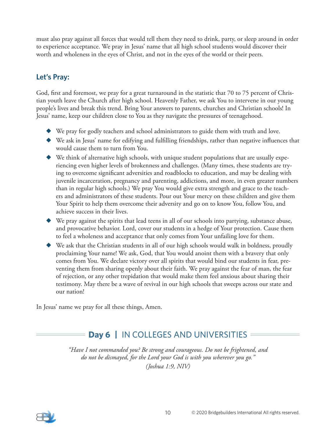must also pray against all forces that would tell them they need to drink, party, or sleep around in order to experience acceptance. We pray in Jesus' name that all high school students would discover their worth and wholeness in the eyes of Christ, and not in the eyes of the world or their peers.

### **Let's Pray:**

God, first and foremost, we pray for a great turnaround in the statistic that 70 to 75 percent of Christian youth leave the Church after high school. Heavenly Father, we ask You to intervene in our young people's lives and break this trend. Bring Your answers to parents, churches and Christian schools! In Jesus' name, keep our children close to You as they navigate the pressures of teenagehood.

- ◆ We pray for godly teachers and school administrators to guide them with truth and love.
- ◆ We ask in Jesus' name for edifying and fulfilling friendships, rather than negative influences that would cause them to turn from You.
- $\blacklozenge$  We think of alternative high schools, with unique student populations that are usually experiencing even higher levels of brokenness and challenges. (Many times, these students are trying to overcome significant adversities and roadblocks to education, and may be dealing with juvenile incarceration, pregnancy and parenting, addictions, and more, in even greater numbers than in regular high schools.) We pray You would give extra strength and grace to the teachers and administrators of these students. Pour out Your mercy on these children and give them Your Spirit to help them overcome their adversity and go on to know You, follow You, and achieve success in their lives.
- $\blacklozenge$  We pray against the spirits that lead teens in all of our schools into partying, substance abuse, and provocative behavior. Lord, cover our students in a hedge of Your protection. Cause them to feel a wholeness and acceptance that only comes from Your unfailing love for them.
- ◆ We ask that the Christian students in all of our high schools would walk in boldness, proudly proclaiming Your name! We ask, God, that You would anoint them with a bravery that only comes from You. We declare victory over all spirits that would bind our students in fear, preventing them from sharing openly about their faith. We pray against the fear of man, the fear of rejection, or any other trepidation that would make them feel anxious about sharing their testimony. May there be a wave of revival in our high schools that sweeps across our state and our nation!

In Jesus' name we pray for all these things, Amen.

## **Day 6 |** IN COLLEGES AND UNIVERSITIES

*"Have I not commanded you? Be strong and courageous. Do not be frightened, and do not be dismayed, for the Lord your God is with you wherever you go." (Joshua 1:9, NIV)*

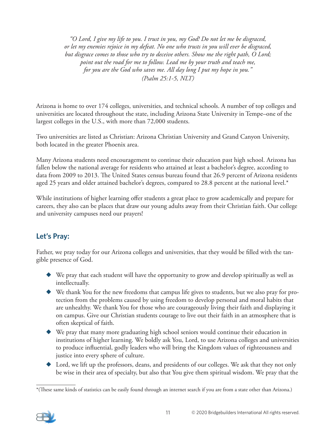*"O Lord, I give my life to you. I trust in you, my God! Do not let me be disgraced, or let my enemies rejoice in my defeat. No one who trusts in you will ever be disgraced, but disgrace comes to those who try to deceive others. Show me the right path, O Lord; point out the road for me to follow. Lead me by your truth and teach me, for you are the God who saves me. All day long I put my hope in you." (Psalm 25:1-5, NLT)*

Arizona is home to over 174 colleges, universities, and technical schools. A number of top colleges and universities are located throughout the state, including Arizona State University in Tempe–one of the largest colleges in the U.S., with more than 72,000 students.

Two universities are listed as Christian: Arizona Christian University and Grand Canyon University, both located in the greater Phoenix area.

Many Arizona students need encouragement to continue their education past high school. Arizona has fallen below the national average for residents who attained at least a bachelor's degree, according to data from 2009 to 2013. The United States census bureau found that 26.9 percent of Arizona residents aged 25 years and older attained bachelor's degrees, compared to 28.8 percent at the national level.\*

While institutions of higher learning offer students a great place to grow academically and prepare for careers, they also can be places that draw our young adults away from their Christian faith. Our college and university campuses need our prayers!

## **Let's Pray:**

Father, we pray today for our Arizona colleges and universities, that they would be filled with the tangible presence of God.

- ◆ We pray that each student will have the opportunity to grow and develop spiritually as well as intellectually.
- ◆ We thank You for the new freedoms that campus life gives to students, but we also pray for protection from the problems caused by using freedom to develop personal and moral habits that are unhealthy. We thank You for those who are courageously living their faith and displaying it on campus. Give our Christian students courage to live out their faith in an atmosphere that is often skeptical of faith.
- ◆ We pray that many more graduating high school seniors would continue their education in institutions of higher learning. We boldly ask You, Lord, to use Arizona colleges and universities to produce influential, godly leaders who will bring the Kingdom values of righteousness and justice into every sphere of culture.
- ◆ Lord, we lift up the professors, deans, and presidents of our colleges. We ask that they not only be wise in their area of specialty, but also that You give them spiritual wisdom. We pray that the

<sup>\*(</sup>These same kinds of statistics can be easily found through an internet search if you are from a state other than Arizona.)

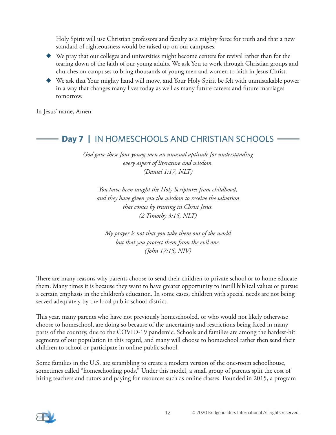Holy Spirit will use Christian professors and faculty as a mighty force for truth and that a new standard of righteousness would be raised up on our campuses.

- ◆ We pray that our colleges and universities might become centers for revival rather than for the tearing down of the faith of our young adults. We ask You to work through Christian groups and churches on campuses to bring thousands of young men and women to faith in Jesus Christ.
- We ask that Your mighty hand will move, and Your Holy Spirit be felt with unmistakable power in a way that changes many lives today as well as many future careers and future marriages tomorrow.

In Jesus' name, Amen.

## **Day 7 |** IN HOMESCHOOLS AND CHRISTIAN SCHOOLS

*God gave these four young men an unusual aptitude for understanding every aspect of literature and wisdom. (Daniel 1:17, NLT)*

*You have been taught the Holy Scriptures from childhood, and they have given you the wisdom to receive the salvation that comes by trusting in Christ Jesus. (2 Timothy 3:15, NLT)*

*My prayer is not that you take them out of the world but that you protect them from the evil one. (John 17:15, NIV)*

There are many reasons why parents choose to send their children to private school or to home educate them. Many times it is because they want to have greater opportunity to instill biblical values or pursue a certain emphasis in the children's education. In some cases, children with special needs are not being served adequately by the local public school district.

This year, many parents who have not previously homeschooled, or who would not likely otherwise choose to homeschool, are doing so because of the uncertainty and restrictions being faced in many parts of the country, due to the COVID-19 pandemic. Schools and families are among the hardest-hit segments of our population in this regard, and many will choose to homeschool rather then send their children to school or participate in online public school.

Some families in the U.S. are scrambling to create a modern version of the one-room schoolhouse, sometimes called "homeschooling pods." Under this model, a small group of parents split the cost of hiring teachers and tutors and paying for resources such as online classes. Founded in 2015, a program

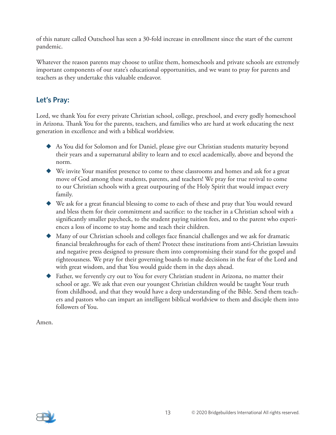of this nature called Outschool has seen a 30-fold increase in enrollment since the start of the current pandemic.

Whatever the reason parents may choose to utilize them, homeschools and private schools are extremely important components of our state's educational opportunities, and we want to pray for parents and teachers as they undertake this valuable endeavor.

### **Let's Pray:**

Lord, we thank You for every private Christian school, college, preschool, and every godly homeschool in Arizona. Thank You for the parents, teachers, and families who are hard at work educating the next generation in excellence and with a biblical worldview.

- ◆ As You did for Solomon and for Daniel, please give our Christian students maturity beyond their years and a supernatural ability to learn and to excel academically, above and beyond the norm.
- ◆ We invite Your manifest presence to come to these classrooms and homes and ask for a great move of God among these students, parents, and teachers! We pray for true revival to come to our Christian schools with a great outpouring of the Holy Spirit that would impact every family.
- ◆ We ask for a great financial blessing to come to each of these and pray that You would reward and bless them for their commitment and sacrifice: to the teacher in a Christian school with a significantly smaller paycheck, to the student paying tuition fees, and to the parent who experiences a loss of income to stay home and teach their children.
- ◆ Many of our Christian schools and colleges face financial challenges and we ask for dramatic financial breakthroughs for each of them! Protect these institutions from anti-Christian lawsuits and negative press designed to pressure them into compromising their stand for the gospel and righteousness. We pray for their governing boards to make decisions in the fear of the Lord and with great wisdom, and that You would guide them in the days ahead.
- ◆ Father, we fervently cry out to You for every Christian student in Arizona, no matter their school or age. We ask that even our youngest Christian children would be taught Your truth from childhood, and that they would have a deep understanding of the Bible. Send them teachers and pastors who can impart an intelligent biblical worldview to them and disciple them into followers of You.

Amen.

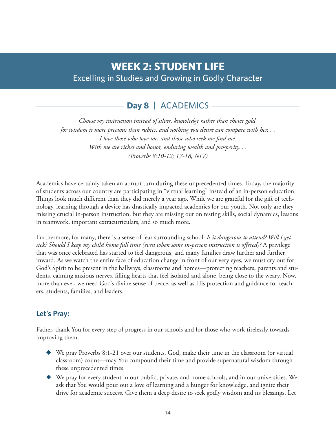## **WEEK 2: STUDENT LIFE** Excelling in Studies and Growing in Godly Character

## **Day 8 |** ACADEMICS

*Choose my instruction instead of silver, knowledge rather than choice gold, for wisdom is more precious than rubies, and nothing you desire can compare with her. . . I love those who love me, and those who seek me find me. With me are riches and honor, enduring wealth and prosperity. . . (Proverbs 8:10-12; 17-18, NIV)*

Academics have certainly taken an abrupt turn during these unprecedented times. Today, the majority of students across our country are participating in "virtual learning" instead of an in-person education. Things look much different than they did merely a year ago. While we are grateful for the gift of technology, learning through a device has drastically impacted academics for our youth. Not only are they missing crucial in-person instruction, but they are missing out on testing skills, social dynamics, lessons in teamwork, important extracurriculars, and so much more.

Furthermore, for many, there is a sense of fear surrounding school. *Is it dangerous to attend? Will I get sick? Should I keep my child home full time (even when some in-person instruction is offered)?* A privilege that was once celebrated has started to feel dangerous, and many families draw further and further inward. As we watch the entire face of education change in front of our very eyes, we must cry out for God's Spirit to be present in the hallways, classrooms and homes—protecting teachers, parents and students, calming anxious nerves, filling hearts that feel isolated and alone, being close to the weary. Now, more than ever, we need God's divine sense of peace, as well as His protection and guidance for teachers, students, families, and leaders.

### **Let's Pray:**

Father, thank You for every step of progress in our schools and for those who work tirelessly towards improving them.

- ◆ We pray Proverbs 8:1-21 over our students. God, make their time in the classroom (or virtual classroom) count—may You compound their time and provide supernatural wisdom through these unprecedented times.
- ◆ We pray for every student in our public, private, and home schools, and in our universities. We ask that You would pour out a love of learning and a hunger for knowledge, and ignite their drive for academic success. Give them a deep desire to seek godly wisdom and its blessings. Let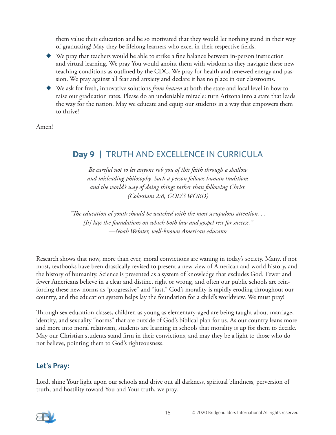them value their education and be so motivated that they would let nothing stand in their way of graduating! May they be lifelong learners who excel in their respective fields.

- ◆ We pray that teachers would be able to strike a fine balance between in-person instruction and virtual learning. We pray You would anoint them with wisdom as they navigate these new teaching conditions as outlined by the CDC. We pray for health and renewed energy and passion. We pray against all fear and anxiety and declare it has no place in our classrooms.
- We ask for fresh, innovative solutions *from heaven* at both the state and local level in how to raise our graduation rates. Please do an undeniable miracle: turn Arizona into a state that leads the way for the nation. May we educate and equip our students in a way that empowers them to thrive!

Amen!

## **Day 9 |** TRUTH AND EXCELLENCE IN CURRICULA

*Be careful not to let anyone rob you of this faith through a shallow and misleading philosophy. Such a person follows human traditions and the world's way of doing things rather than following Christ. (Colossians 2:8, GOD'S WORD)*

*"The education of youth should be watched with the most scrupulous attention. . . [It] lays the foundations on which both law and gospel rest for success." —Noah Webster, well-known American educator*

Research shows that now, more than ever, moral convictions are waning in today's society. Many, if not most, textbooks have been drastically revised to present a new view of American and world history, and the history of humanity. Science is presented as a system of knowledge that excludes God. Fewer and fewer Americans believe in a clear and distinct right or wrong, and often our public schools are reinforcing these new norms as "progressive" and "just." God's morality is rapidly eroding throughout our country, and the education system helps lay the foundation for a child's worldview. We must pray!

Through sex education classes, children as young as elementary-aged are being taught about marriage, identity, and sexuality "norms" that are outside of God's biblical plan for us. As our country leans more and more into moral relativism, students are learning in schools that morality is up for them to decide. May our Christian students stand firm in their convictions, and may they be a light to those who do not believe, pointing them to God's righteousness.

### **Let's Pray:**

Lord, shine Your light upon our schools and drive out all darkness, spiritual blindness, perversion of truth, and hostility toward You and Your truth, we pray.

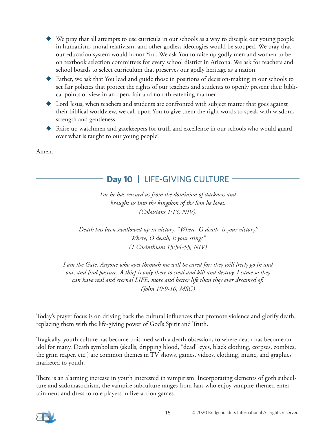- We pray that all attempts to use curricula in our schools as a way to disciple our young people in humanism, moral relativism, and other godless ideologies would be stopped. We pray that our education system would honor You. We ask You to raise up godly men and women to be on textbook selection committees for every school district in Arizona. We ask for teachers and school boards to select curriculum that preserves our godly heritage as a nation.
- ◆ Father, we ask that You lead and guide those in positions of decision-making in our schools to set fair policies that protect the rights of our teachers and students to openly present their biblical points of view in an open, fair and non-threatening manner.
- ◆ Lord Jesus, when teachers and students are confronted with subject matter that goes against their biblical worldview, we call upon You to give them the right words to speak with wisdom, strength and gentleness.
- ◆ Raise up watchmen and gatekeepers for truth and excellence in our schools who would guard over what is taught to our young people!

Amen.

## **Day 10 |** LIFE-GIVING CULTURE

*For he has rescued us from the dominion of darkness and brought us into the kingdom of the Son he loves. (Colossians 1:13, NIV).*

*Death has been swallowed up in victory. "Where, O death, is your victory? Where, O death, is your sting?" (1 Corinthians 15:54-55, NIV)*

*I am the Gate. Anyone who goes through me will be cared for; they will freely go in and out, and find pasture. A thief is only there to steal and kill and destroy. I came so they can have real and eternal LIFE, more and better life than they ever dreamed of. (John 10:9-10, MSG)*

Today's prayer focus is on driving back the cultural influences that promote violence and glorify death, replacing them with the life-giving power of God's Spirit and Truth.

Tragically, youth culture has become poisoned with a death obsession, to where death has become an idol for many. Death symbolism (skulls, dripping blood, "dead" eyes, black clothing, corpses, zombies, the grim reaper, etc.) are common themes in TV shows, games, videos, clothing, music, and graphics marketed to youth.

There is an alarming increase in youth interested in vampirism. Incorporating elements of goth subculture and sadomasochism, the vampire subculture ranges from fans who enjoy vampire-themed entertainment and dress to role players in live-action games.

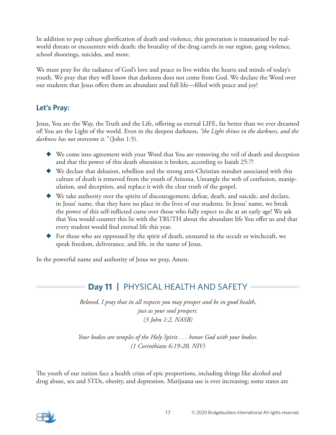In addition to pop culture glorification of death and violence, this generation is traumatized by realworld threats or encounters with death: the brutality of the drug cartels in our region, gang violence, school shootings, suicides, and more.

We must pray for the radiance of God's love and peace to live within the hearts and minds of today's youth. We pray that they will know that darkness does not come from God. We declare the Word over our students that Jesus offers them an abundant and full life—filled with peace and joy!

### **Let's Pray:**

Jesus, You are the Way, the Truth and the Life, offering us eternal LIFE, far better than we ever dreamed of! You are the Light of the world. Even in the deepest darkness, *"the Light shines in the darkness, and the darkness has not overcome it."* (John 1:5).

- ◆ We come into agreement with your Word that You are removing the veil of death and deception and that the power of this death obsession is broken, according to Isaiah 25:7!
- ◆ We declare that delusion, rebellion and the strong anti-Christian mindset associated with this culture of death is removed from the youth of Arizona. Untangle the web of confusion, manipulation, and deception, and replace it with the clear truth of the gospel.
- ◆ We take authority over the spirits of discouragement, defeat, death, and suicide, and declare, in Jesus' name, that they have no place in the lives of our students. In Jesus' name, we break the power of this self-inflicted curse over those who fully expect to die at an early age! We ask that You would counter this lie with the TRUTH about the abundant life You offer us and that every student would find eternal life this year.
- $\blacklozenge$  For those who are oppressed by the spirit of death, ensnared in the occult or witchcraft, we speak freedom, deliverance, and life, in the name of Jesus.

In the powerful name and authority of Jesus we pray, Amen.

## **Day 11 | PHYSICAL HEALTH AND SAFETY =**

*Beloved, I pray that in all respects you may prosper and be in good health, just as your soul prospers. (3 John 1:2, NASB)*

*Your bodies are temples of the Holy Spirit . . . honor God with your bodies. (1 Corinthians 6:19-20, NIV)*

The youth of our nation face a health crisis of epic proportions, including things like alcohol and drug abuse, sex and STDs, obesity, and depression. Marijuana use is ever increasing; some states are

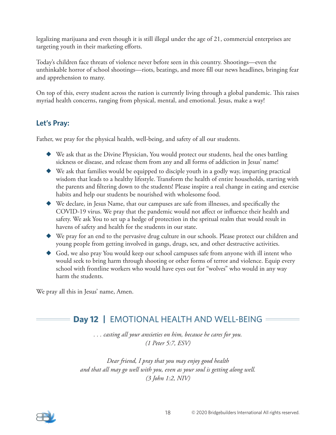legalizing marijuana and even though it is still illegal under the age of 21, commercial enterprises are targeting youth in their marketing efforts.

Today's children face threats of violence never before seen in this country. Shootings—even the unthinkable horror of school shootings—riots, beatings, and more fill our news headlines, bringing fear and apprehension to many.

On top of this, every student across the nation is currently living through a global pandemic. This raises myriad health concerns, ranging from physical, mental, and emotional. Jesus, make a way!

### **Let's Pray:**

Father, we pray for the physical health, well-being, and safety of all our students.

- ◆ We ask that as the Divine Physician, You would protect our students, heal the ones battling sickness or disease, and release them from any and all forms of addiction in Jesus' name!
- ◆ We ask that families would be equipped to disciple youth in a godly way, imparting practical wisdom that leads to a healthy lifestyle. Transform the health of entire households, starting with the parents and filtering down to the students! Please inspire a real change in eating and exercise habits and help our students be nourished with wholesome food.
- ◆ We declare, in Jesus Name, that our campuses are safe from illnesses, and specifically the COVID-19 virus. We pray that the pandemic would not affect or influence their health and safety. We ask You to set up a hedge of protection in the spritual realm that would result in havens of safety and health for the students in our state.
- ◆ We pray for an end to the pervasive drug culture in our schools. Please protect our children and young people from getting involved in gangs, drugs, sex, and other destructive activities.
- ◆ God, we also pray You would keep our school campuses safe from anyone with ill intent who would seek to bring harm through shooting or other forms of terror and violence. Equip every school with frontline workers who would have eyes out for "wolves" who would in any way harm the students.

We pray all this in Jesus' name, Amen.

## **Day 12 |** EMOTIONAL HEALTH AND WELL-BEING

*. . . casting all your anxieties on him, because he cares for you. (1 Peter 5:7, ESV)*

*Dear friend, I pray that you may enjoy good health and that all may go well with you, even as your soul is getting along well. (3 John 1:2, NIV)*

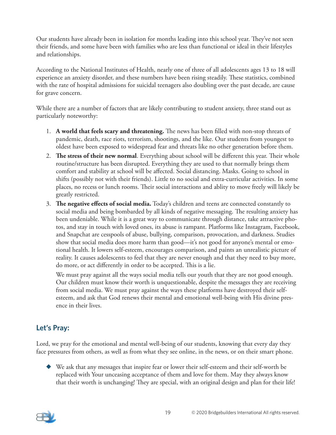Our students have already been in isolation for months leading into this school year. They've not seen their friends, and some have been with families who are less than functional or ideal in their lifestyles and relationships.

According to the National Institutes of Health, nearly one of three of all adolescents ages 13 to 18 will experience an anxiety disorder, and these numbers have been rising steadily. These statistics, combined with the rate of hospital admissions for suicidal teenagers also doubling over the past decade, are cause for grave concern.

While there are a number of factors that are likely contributing to student anxiety, three stand out as particularly noteworthy:

- 1. **A world that feels scary and threatening.** The news has been filled with non-stop threats of pandemic, death, race riots, terrorism, shootings, and the like. Our students from youngest to oldest have been exposed to widespread fear and threats like no other generation before them.
- 2. **The stress of their new normal**. Everything about school will be different this year. Their whole routine/structure has been disrupted. Everything they are used to that normally brings them comfort and stability at school will be affected. Social distancing. Masks. Going to school in shifts (possibly not with their friends). Little to no social and extra-curricular activities. In some places, no recess or lunch rooms. Their social interactions and ablity to move freely will likely be greatly restricted.
- 3. **The negative effects of social media.** Today's children and teens are connected constantly to social media and being bombarded by all kinds of negative messaging. The resulting anxiety has been undeniable. While it is a great way to communicate through distance, take attractive photos, and stay in touch with loved ones, its abuse is rampant. Platforms like Instagram, Facebook, and Snapchat are cesspools of abuse, bullying, comparison, provocation, and darkness. Studies show that social media does more harm than good—it's not good for anyone's mental or emotional health. It lowers self-esteem, encourages comparison, and paints an unrealistic picture of reality. It causes adolescents to feel that they are never enough and that they need to buy more, do more, or act differently in order to be accepted. This is a lie.

We must pray against all the ways social media tells our youth that they are not good enough. Our children must know their worth is unquestionable, despite the messages they are receiving from social media. We must pray against the ways these platforms have destroyed their selfesteem, and ask that God renews their mental and emotional well-being with His divine presence in their lives.

### **Let's Pray:**

Lord, we pray for the emotional and mental well-being of our students, knowing that every day they face pressures from others, as well as from what they see online, in the news, or on their smart phone.

◆ We ask that any messages that inspire fear or lower their self-esteem and their self-worth be replaced with Your unceasing acceptance of them and love for them. May they always know that their worth is unchanging! They are special, with an original design and plan for their life!

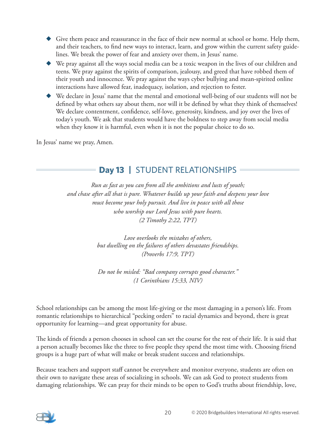- ◆ Give them peace and reassurance in the face of their new normal at school or home. Help them, and their teachers, to find new ways to interact, learn, and grow within the current safety guidelines. We break the power of fear and anxiety over them, in Jesus' name.
- ◆ We pray against all the ways social media can be a toxic weapon in the lives of our children and teens. We pray against the spirits of comparison, jealousy, and greed that have robbed them of their youth and innocence. We pray against the ways cyber bullying and mean-spirited online interactions have allowed fear, inadequacy, isolation, and rejection to fester.
- ◆ We declare in Jesus' name that the mental and emotional well-being of our students will not be defined by what others say about them, nor will it be defined by what they think of themselves! We declare contentment, confidence, self-love, generosity, kindness, and joy over the lives of today's youth. We ask that students would have the boldness to step away from social media when they know it is harmful, even when it is not the popular choice to do so.

In Jesus' name we pray, Amen.

## **Day 13 |** STUDENT RELATIONSHIPS

*Run as fast as you can from all the ambitions and lusts of youth; and chase after all that is pure. Whatever builds up your faith and deepens your love must become your holy pursuit. And live in peace with all those who worship our Lord Jesus with pure hearts. (2 Timothy 2:22, TPT)*

> *Love overlooks the mistakes of others, but dwelling on the failures of others devastates friendships. (Proverbs 17:9, TPT)*

> *Do not be misled: "Bad company corrupts good character." (1 Corinthians 15:33, NIV)*

School relationships can be among the most life-giving or the most damaging in a person's life. From romantic relationships to hierarchical "pecking orders" to racial dynamics and beyond, there is great opportunity for learning—and great opportunity for abuse.

The kinds of friends a person chooses in school can set the course for the rest of their life. It is said that a person actually becomes like the three to five people they spend the most time with. Choosing friend groups is a huge part of what will make or break student success and relationships.

Because teachers and support staff cannot be everywhere and monitor everyone, students are often on their own to navigate these areas of socializing in schools. We can ask God to protect students from damaging relationships. We can pray for their minds to be open to God's truths about friendship, love,

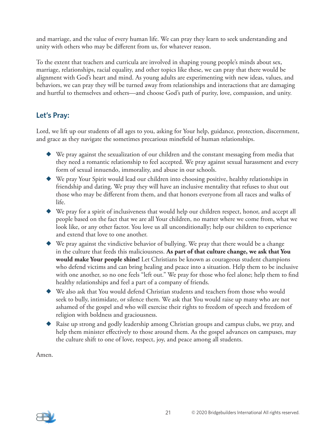and marriage, and the value of every human life. We can pray they learn to seek understanding and unity with others who may be different from us, for whatever reason.

To the extent that teachers and curricula are involved in shaping young people's minds about sex, marriage, relationships, racial equality, and other topics like these, we can pray that there would be alignment with God's heart and mind. As young adults are experimenting with new ideas, values, and behaviors, we can pray they will be turned away from relationships and interactions that are damaging and hurtful to themselves and others—and choose God's path of purity, love, compassion, and unity.

### **Let's Pray:**

Lord, we lift up our students of all ages to you, asking for Your help, guidance, protection, discernment, and grace as they navigate the sometimes precarious minefield of human relationships.

- ◆ We pray against the sexualization of our children and the constant messaging from media that they need a romantic relationship to feel accepted. We pray against sexual harassment and every form of sexual innuendo, immorality, and abuse in our schools.
- ◆ We pray Your Spirit would lead our children into choosing positive, healthy relationships in friendship and dating. We pray they will have an inclusive mentality that refuses to shut out those who may be different from them, and that honors everyone from all races and walks of life.
- ◆ We pray for a spirit of inclusiveness that would help our children respect, honor, and accept all people based on the fact that we are all Your children, no matter where we come from, what we look like, or any other factor. You love us all unconditionally; help our children to experience and extend that love to one another.
- ◆ We pray against the vindictive behavior of bullying. We pray that there would be a change in the culture that feeds this maliciousness. **As part of that culture change, we ask that You would make Your people shine!** Let Christians be known as courageous student champions who defend victims and can bring healing and peace into a situation. Help them to be inclusive with one another, so no one feels "left out." We pray for those who feel alone; help them to find healthy relationships and feel a part of a company of friends.
- ◆ We also ask that You would defend Christian students and teachers from those who would seek to bully, intimidate, or silence them. We ask that You would raise up many who are not ashamed of the gospel and who will exercise their rights to freedom of speech and freedom of religion with boldness and graciousness.
- ◆ Raise up strong and godly leadership among Christian groups and campus clubs, we pray, and help them minister effectively to those around them. As the gospel advances on campuses, may the culture shift to one of love, respect, joy, and peace among all students.

Amen.

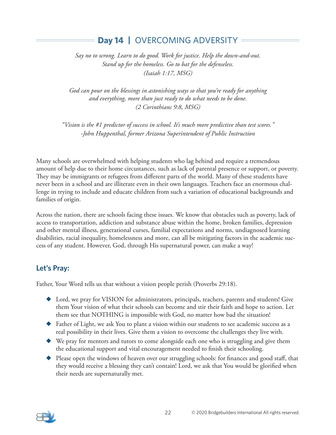## **Day 14 |** OVERCOMING ADVERSITY

*Say no to wrong. Learn to do good. Work for justice. Help the down-and-out. Stand up for the homeless. Go to bat for the defenseless. (Isaiah 1:17, MSG)*

*God can pour on the blessings in astonishing ways so that you're ready for anything and everything, more than just ready to do what needs to be done. (2 Corinthians 9:8, MSG)*

*"Vision is the #1 predictor of success in school. It's much more predictive than test scores." -John Huppenthal, former Arizona Superintendent of Public Instruction*

Many schools are overwhelmed with helping students who lag behind and require a tremendous amount of help due to their home circustances, such as lack of parental presence or support, or poverty. They may be immigrants or refugees from different parts of the world. Many of these students have never been in a school and are illiterate even in their own languages. Teachers face an enormous challenge in trying to include and educate children from such a variation of educational backgrounds and families of origin.

Across the nation, there are schools facing these issues. We know that obstacles such as poverty, lack of access to transportation, addiction and substance abuse within the home, broken families, depression and other mental illness, generational curses, familial expectations and norms, undiagnosed learning disabilities, racial inequality, homelessness and more, can all be mitigating factors in the academic success of any student. However, God, through His supernatural power, can make a way!

### **Let's Pray:**

Father, Your Word tells us that without a vision people perish (Proverbs 29:18).

- ◆ Lord, we pray for VISION for administrators, principals, teachers, parents and students! Give them Your vision of what their schools can become and stir their faith and hope to action. Let them see that NOTHING is impossible with God, no matter how bad the situation!
- ◆ Father of Light, we ask You to plant a vision within our students to see academic success as a real possibility in their lives. Give them a vision to overcome the challenges they live with.
- ◆ We pray for mentors and tutors to come alongside each one who is struggling and give them the educational support and vital encouragement needed to finish their schooling.
- ◆ Please open the windows of heaven over our struggling schools: for finances and good staff, that they would receive a blessing they can't contain! Lord, we ask that You would be glorified when their needs are supernaturally met.

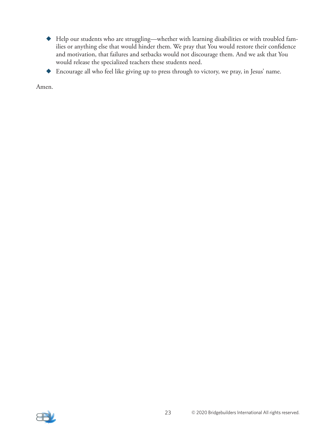- ◆ Help our students who are struggling—whether with learning disabilities or with troubled families or anything else that would hinder them. We pray that You would restore their confidence and motivation, that failures and setbacks would not discourage them. And we ask that You would release the specialized teachers these students need.
- ◆ Encourage all who feel like giving up to press through to victory, we pray, in Jesus' name.

Amen.

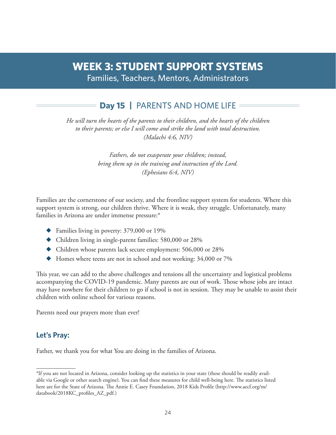# **WEEK 3: STUDENT SUPPORT SYSTEMS**

Families, Teachers, Mentors, Administrators

## **Day 15 |** PARENTS AND HOME LIFE

*He will turn the hearts of the parents to their children, and the hearts of the children to their parents; or else I will come and strike the land with total destruction. (Malachi 4:6, NIV)*

> *Fathers, do not exasperate your children; instead, bring them up in the training and instruction of the Lord. (Ephesians 6:4, NIV)*

Families are the cornerstone of our society, and the frontline support system for students. Where this support system is strong, our children thrive. Where it is weak, they struggle. Unfortunately, many families in Arizona are under immense pressure:\*

- ◆ Families living in poverty: 379,000 or 19%
- ◆ Children living in single-parent families: 580,000 or 28%
- ◆ Children whose parents lack secure employment: 506,000 or 28%
- ◆ Homes where teens are not in school and not working: 34,000 or 7%

This year, we can add to the above challenges and tensions all the uncertainty and logistical problems accompanying the COVID-19 pandemic. Many parents are out of work. Those whose jobs are intact may have nowhere for their children to go if school is not in session. They may be unable to assist their children with online school for various reasons.

Parents need our prayers more than ever!

### **Let's Pray:**

Father, we thank you for what You are doing in the families of Arizona.

<sup>\*</sup>If you are not located in Arizona, consider looking up the statistics in your state (these should be readily available via Google or other search engine). You can find these measures for child well-being here. The statistics listed here are for the State of Arizona. The Annie E. Casey Foundation, 2018 Kids Profile (http://www.aecf.org/m/ databook/2018KC\_profiles\_AZ\_pdf.)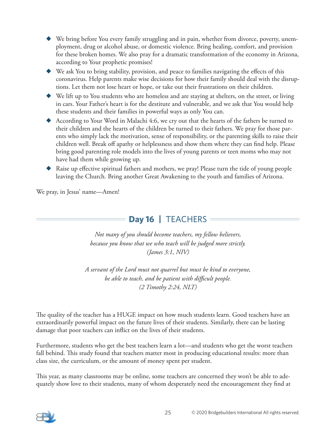- We bring before You every family struggling and in pain, whether from divorce, poverty, unemployment, drug or alcohol abuse, or domestic violence. Bring healing, comfort, and provision for these broken homes. We also pray for a dramatic transformation of the economy in Arizona, according to Your prophetic promises!
- ◆ We ask You to bring stability, provision, and peace to families navigating the effects of this coronavirus. Help parents make wise decisions for how their family should deal with the disruptions. Let them not lose heart or hope, or take out their frustrations on their children.
- ◆ We lift up to You students who are homeless and are staying at shelters, on the street, or living in cars. Your Father's heart is for the destitute and vulnerable, and we ask that You would help these students and their families in powerful ways as only You can.
- ◆ According to Your Word in Malachi 4:6, we cry out that the hearts of the fathers be turned to their children and the hearts of the children be turned to their fathers. We pray for those parents who simply lack the motivation, sense of responsibility, or the parenting skills to raise their children well. Break off apathy or helplessness and show them where they can find help. Please bring good parenting role models into the lives of young parents or teen moms who may not have had them while growing up.
- ◆ Raise up effective spiritual fathers and mothers, we pray! Please turn the tide of young people leaving the Church. Bring another Great Awakening to the youth and families of Arizona.

We pray, in Jesus' name—Amen!

## **Day 16 | TEACHERS =**

*Not many of you should become teachers, my fellow believers, because you know that we who teach will be judged more strictly. (James 3:1, NIV)*

*A servant of the Lord must not quarrel but must be kind to everyone, be able to teach, and be patient with difficult people. (2 Timothy 2:24, NLT)*

The quality of the teacher has a HUGE impact on how much students learn. Good teachers have an extraordinarily powerful impact on the future lives of their students. Similarly, there can be lasting damage that poor teachers can inflict on the lives of their students.

Furthermore, students who get the best teachers learn a lot—and students who get the worst teachers fall behind. This study found that teachers matter most in producing educational results: more than class size, the curriculum, or the amount of money spent per student.

This year, as many classrooms may be online, some teachers are concerned they won't be able to adequately show love to their students, many of whom desperately need the encouragement they find at

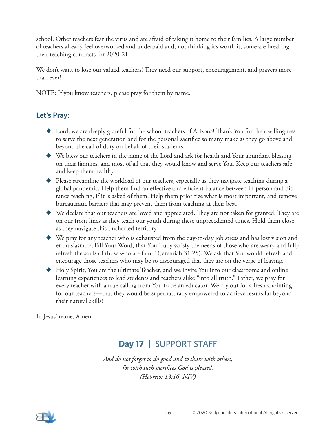school. Other teachers fear the virus and are afraid of taking it home to their families. A large number of teachers already feel overworked and underpaid and, not thinking it's worth it, some are breaking their teaching contracts for 2020-21.

We don't want to lose our valued teachers! They need our support, encouragement, and prayers more than ever!

NOTE: If you know teachers, please pray for them by name.

### **Let's Pray:**

- ◆ Lord, we are deeply grateful for the school teachers of Arizona! Thank You for their willingness to serve the next generation and for the personal sacrifice so many make as they go above and beyond the call of duty on behalf of their students.
- ◆ We bless our teachers in the name of the Lord and ask for health and Your abundant blessing on their families, and most of all that they would know and serve You. Keep our teachers safe and keep them healthy.
- $\blacklozenge$  Please streamline the workload of our teachers, especially as they navigate teaching during a global pandemic. Help them find an effective and efficient balance between in-person and distance teaching, if it is asked of them. Help them prioritize what is most important, and remove bureaucratic barriers that may prevent them from teaching at their best.
- ◆ We declare that our teachers are loved and appreciated. They are not taken for granted. They are on our front lines as they teach our youth during these unprecedented times. Hold them close as they navigate this uncharted territory.
- ◆ We pray for any teacher who is exhausted from the day-to-day job stress and has lost vision and enthusiasm. Fulfill Your Word, that You "fully satisfy the needs of those who are weary and fully refresh the souls of those who are faint" (Jeremiah 31:25). We ask that You would refresh and encourage those teachers who may be so discouraged that they are on the verge of leaving.
- ◆ Holy Spirit, You are the ultimate Teacher, and we invite You into our classrooms and online learning experiences to lead students and teachers alike "into all truth." Father, we pray for every teacher with a true calling from You to be an educator. We cry out for a fresh anointing for our teachers—that they would be supernaturally empowered to achieve results far beyond their natural skills!

In Jesus' name, Amen.

## **Day 17 |** SUPPORT STAFF

*And do not forget to do good and to share with others, for with such sacrifices God is pleased. (Hebrews 13:16, NIV)*

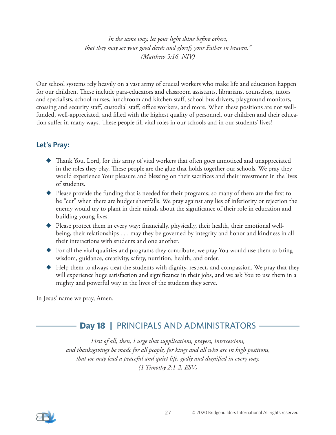*In the same way, let your light shine before others, that they may see your good deeds and glorify your Father in heaven." (Matthew 5:16, NIV)*

Our school systems rely heavily on a vast army of crucial workers who make life and education happen for our children. These include para-educators and classroom assistants, librarians, counselors, tutors and specialists, school nurses, lunchroom and kitchen staff, school bus drivers, playground monitors, crossing and security staff, custodial staff, office workers, and more. When these positions are not wellfunded, well-appreciated, and filled with the highest quality of personnel, our children and their education suffer in many ways. These people fill vital roles in our schools and in our students' lives!

### **Let's Pray:**

- ◆ Thank You, Lord, for this army of vital workers that often goes unnoticed and unappreciated in the roles they play. These people are the glue that holds together our schools. We pray they would experience Your pleasure and blessing on their sacrifices and their investment in the lives of students.
- ◆ Please provide the funding that is needed for their programs; so many of them are the first to be "cut" when there are budget shortfalls. We pray against any lies of inferiority or rejection the enemy would try to plant in their minds about the significance of their role in education and building young lives.
- ◆ Please protect them in every way: financially, physically, their health, their emotional wellbeing, their relationships . . . may they be governed by integrity and honor and kindness in all their interactions with students and one another.
- For all the vital qualities and programs they contribute, we pray You would use them to bring wisdom, guidance, creativity, safety, nutrition, health, and order.
- $\blacklozenge$  Help them to always treat the students with dignity, respect, and compassion. We pray that they will experience huge satisfaction and significance in their jobs, and we ask You to use them in a mighty and powerful way in the lives of the students they serve.

In Jesus' name we pray, Amen.

## **Day 18 |** PRINCIPALS AND ADMINISTRATORS

*First of all, then, I urge that supplications, prayers, intercessions, and thanksgivings be made for all people, for kings and all who are in high positions, that we may lead a peaceful and quiet life, godly and dignified in every way. (1 Timothy 2:1-2, ESV)*

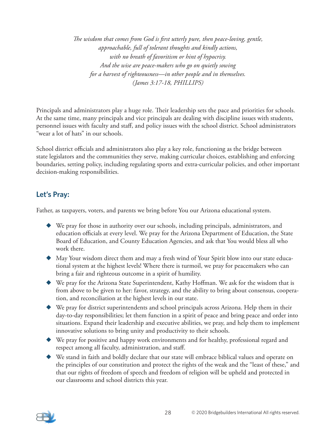*The wisdom that comes from God is first utterly pure, then peace-loving, gentle, approachable, full of tolerant thoughts and kindly actions, with no breath of favoritism or hint of hypocrisy. And the wise are peace-makers who go on quietly sowing for a harvest of righteousness—in other people and in themselves. (James 3:17-18, PHILLIPS)*

Principals and administrators play a huge role. Their leadership sets the pace and priorities for schools. At the same time, many principals and vice principals are dealing with discipline issues with students, personnel issues with faculty and staff, and policy issues with the school district. School administrators "wear a lot of hats" in our schools.

School district officials and administrators also play a key role, functioning as the bridge between state legislators and the communities they serve, making curricular choices, establishing and enforcing boundaries, setting policy, including regulating sports and extra-curricular policies, and other important decision-making responsibilities.

### **Let's Pray:**

Father, as taxpayers, voters, and parents we bring before You our Arizona educational system.

- ◆ We pray for those in authority over our schools, including principals, administrators, and education officials at every level. We pray for the Arizona Department of Education, the State Board of Education, and County Education Agencies, and ask that You would bless all who work there.
- ◆ May Your wisdom direct them and may a fresh wind of Your Spirit blow into our state educational system at the highest levels! Where there is turmoil, we pray for peacemakers who can bring a fair and righteous outcome in a spirit of humility.
- ◆ We pray for the Arizona State Superintendent, Kathy Hoffman. We ask for the wisdom that is from above to be given to her: favor, strategy, and the ability to bring about consensus, cooperation, and reconciliation at the highest levels in our state.
- ◆ We pray for district superintendents and school principals across Arizona. Help them in their day-to-day responsibilities; let them function in a spirit of peace and bring peace and order into situations. Expand their leadership and executive abilities, we pray, and help them to implement innovative solutions to bring unity and productivity to their schools.
- ◆ We pray for positive and happy work environments and for healthy, professional regard and respect among all faculty, administration, and staff.
- ◆ We stand in faith and boldly declare that our state will embrace biblical values and operate on the principles of our constitution and protect the rights of the weak and the "least of these," and that our rights of freedom of speech and freedom of religion will be upheld and protected in our classrooms and school districts this year.

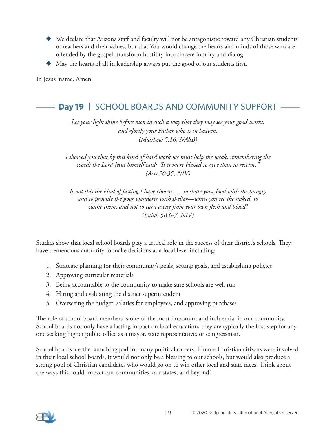- ◆ We declare that Arizona staff and faculty will not be antagonistic toward any Christian students or teachers and their values, but that You would change the hearts and minds of those who are offended by the gospel; transform hostility into sincere inquiry and dialog.
- ◆ May the hearts of all in leadership always put the good of our students first.

In Jesus' name, Amen.

## **Day 19 |** SCHOOL BOARDS AND COMMUNITY SUPPORT

*Let your light shine before men in such a way that they may see your good works, and glorify your Father who is in heaven. (Matthew 5:16, NASB)*

*I showed you that by this kind of hard work we must help the weak, remembering the words the Lord Jesus himself said: "It is more blessed to give than to receive." (Acts 20:35, NIV)*

*Is not this the kind of fasting I have chosen . . . to share your food with the hungry and to provide the poor wanderer with shelter—when you see the naked, to clothe them, and not to turn away from your own flesh and blood? (Isaiah 58:6-7, NIV)*

Studies show that local school boards play a critical role in the success of their district's schools. They have tremendous authority to make decisions at a local level including:

- 1. Strategic planning for their community's goals, setting goals, and establishing policies
- 2. Approving curricular materials
- 3. Being accountable to the community to make sure schools are well run
- 4. Hiring and evaluating the district superintendent
- 5. Overseeing the budget, salaries for employees, and approving purchases

The role of school board members is one of the most important and influential in our community. School boards not only have a lasting impact on local education, they are typically the first step for anyone seeking higher public office as a mayor, state representative, or congressman.

School boards are the launching pad for many political careers. If more Christian citizens were involved in their local school boards, it would not only be a blessing to our schools, but would also produce a strong pool of Christian candidates who would go on to win other local and state races. Think about the ways this could impact our communities, our states, and beyond!

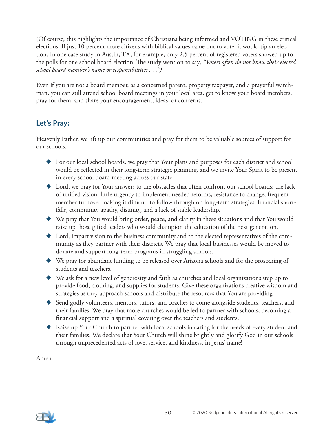(Of course, this highlights the importance of Christians being informed and VOTING in these critical elections! If just 10 percent more citizens with biblical values came out to vote, it would tip an election. In one case study in Austin, TX, for example, only 2.5 percent of registered voters showed up to the polls for one school board election! The study went on to say*, "Voters often do not know their elected school board member's name or responsibilities . . .")*

Even if you are not a board member, as a concerned parent, property taxpayer, and a prayerful watchman, you can still attend school board meetings in your local area, get to know your board members, pray for them, and share your encouragement, ideas, or concerns.

### **Let's Pray:**

Heavenly Father, we lift up our communities and pray for them to be valuable sources of support for our schools.

- ◆ For our local school boards, we pray that Your plans and purposes for each district and school would be reflected in their long-term strategic planning, and we invite Your Spirit to be present in every school board meeting across our state.
- ◆ Lord, we pray for Your answers to the obstacles that often confront our school boards: the lack of unified vision, little urgency to implement needed reforms, resistance to change, frequent member turnover making it difficult to follow through on long-term strategies, financial shortfalls, community apathy, disunity, and a lack of stable leadership.
- ◆ We pray that You would bring order, peace, and clarity in these situations and that You would raise up those gifted leaders who would champion the education of the next generation.
- ◆ Lord, impart vision to the business community and to the elected representatives of the community as they partner with their districts. We pray that local businesses would be moved to donate and support long-term programs in struggling schools.
- ◆ We pray for abundant funding to be released over Arizona schools and for the prospering of students and teachers.
- ◆ We ask for a new level of generosity and faith as churches and local organizations step up to provide food, clothing, and supplies for students. Give these organizations creative wisdom and strategies as they approach schools and distribute the resources that You are providing.
- ◆ Send godly volunteers, mentors, tutors, and coaches to come alongside students, teachers, and their families. We pray that more churches would be led to partner with schools, becoming a financial support and a spiritual covering over the teachers and students.
- ◆ Raise up Your Church to partner with local schools in caring for the needs of every student and their families. We declare that Your Church will shine brightly and glorify God in our schools through unprecedented acts of love, service, and kindness, in Jesus' name!

Amen.

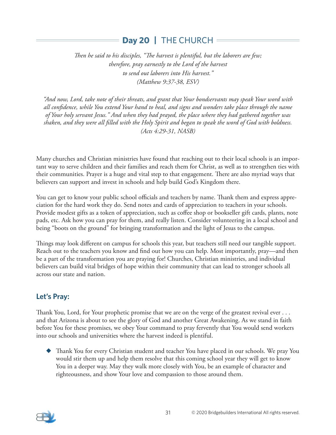## **Day 20 |** THE CHURCH

*Then he said to his disciples, "The harvest is plentiful, but the laborers are few; therefore, pray earnestly to the Lord of the harvest to send out laborers into His harvest." (Matthew 9:37-38, ESV)*

*"And now, Lord, take note of their threats, and grant that Your bondservants may speak Your word with all confidence, while You extend Your hand to heal, and signs and wonders take place through the name of Your holy servant Jesus." And when they had prayed, the place where they had gathered together was shaken, and they were all filled with the Holy Spirit and began to speak the word of God with boldness. (Acts 4:29-31, NASB)*

Many churches and Christian ministries have found that reaching out to their local schools is an important way to serve children and their families and reach them for Christ, as well as to strengthen ties with their communities. Prayer is a huge and vital step to that engagement. There are also myriad ways that believers can support and invest in schools and help build God's Kingdom there.

You can get to know your public school officials and teachers by name. Thank them and express appreciation for the hard work they do. Send notes and cards of appreciation to teachers in your schools. Provide modest gifts as a token of appreciation, such as coffee shop or bookseller gift cards, plants, note pads, etc. Ask how you can pray for them, and really listen. Consider volunteering in a local school and being "boots on the ground" for bringing transformation and the light of Jesus to the campus.

Things may look different on campus for schools this year, but teachers still need our tangible support. Reach out to the teachers you know and find out how you can help. Most importantly, pray—and then be a part of the transformation you are praying for! Churches, Christian ministries, and individual believers can build vital bridges of hope within their community that can lead to stronger schools all across our state and nation.

### **Let's Pray:**

Thank You, Lord, for Your prophetic promise that we are on the verge of the greatest revival ever . . . and that Arizona is about to see the glory of God and another Great Awakening. As we stand in faith before You for these promises, we obey Your command to pray fervently that You would send workers into our schools and universities where the harvest indeed is plentiful.

◆ Thank You for every Christian student and teacher You have placed in our schools. We pray You would stir them up and help them resolve that this coming school year they will get to know You in a deeper way. May they walk more closely with You, be an example of character and righteousness, and show Your love and compassion to those around them.

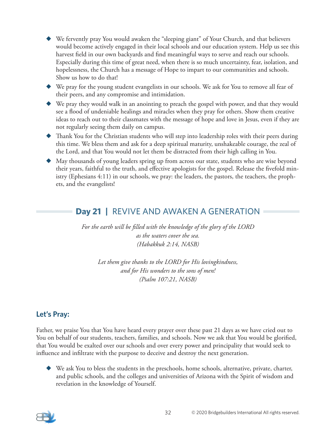- We fervently pray You would awaken the "sleeping giant" of Your Church, and that believers would become actively engaged in their local schools and our education system. Help us see this harvest field in our own backyards and find meaningful ways to serve and reach our schools. Especially during this time of great need, when there is so much uncertainty, fear, isolation, and hopelessness, the Church has a message of Hope to impart to our communities and schools. Show us how to do that!
- ◆ We pray for the young student evangelists in our schools. We ask for You to remove all fear of their peers, and any compromise and intimidation.
- ◆ We pray they would walk in an anointing to preach the gospel with power, and that they would see a flood of undeniable healings and miracles when they pray for others. Show them creative ideas to reach out to their classmates with the message of hope and love in Jesus, even if they are not regularly seeing them daily on campus.
- ◆ Thank You for the Christian students who will step into leadership roles with their peers during this time. We bless them and ask for a deep spiritual maturity, unshakeable courage, the zeal of the Lord, and that You would not let them be distracted from their high calling in You.
- ◆ May thousands of young leaders spring up from across our state, students who are wise beyond their years, faithful to the truth, and effective apologists for the gospel. Release the fivefold ministry (Ephesians 4:11) in our schools, we pray: the leaders, the pastors, the teachers, the prophets, and the evangelists!

## **Day 21 |** REVIVE AND AWAKEN A GENERATION

*For the earth will be filled with the knowledge of the glory of the LORD as the waters cover the sea. (Habakkuk 2:14, NASB)*

*Let them give thanks to the LORD for His lovingkindness, and for His wonders to the sons of men! (Psalm 107:21, NASB)*

### **Let's Pray:**

Father, we praise You that You have heard every prayer over these past 21 days as we have cried out to You on behalf of our students, teachers, families, and schools. Now we ask that You would be glorified, that You would be exalted over our schools and over every power and principality that would seek to influence and infiltrate with the purpose to deceive and destroy the next generation.

◆ We ask You to bless the students in the preschools, home schools, alternative, private, charter, and public schools, and the colleges and universities of Arizona with the Spirit of wisdom and revelation in the knowledge of Yourself.